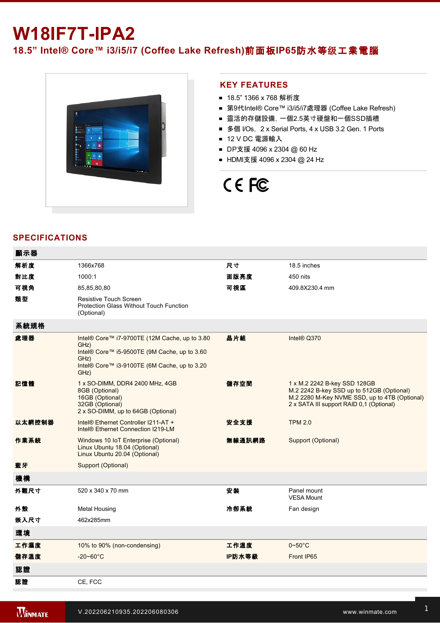## **W18IF7T-IPA2**

**18.5" Intel® Core™ i3/i5/i7 (Coffee Lake Refresh)**前面板**IP65**防水等级工業電腦



## **KEY FEATURES**

- 18.5" 1366 x 768 解析度
- 第9代Intel® Core™ i3/i5/i7處理器 (Coffee Lake Refresh)
- 靈活的存儲設備, 一個2.5英寸硬盤和一個SSD插槽
- 多個 I/Os, 2 x Serial Ports, 4 x USB 3.2 Gen. 1 Ports
- 12 V DC 電源輸入
- DP支援 4096 x 2304 @ 60 Hz
- HDMI支援 4096 x 2304 @ 24 Hz

# CE FC

## **SPECIFICATIONS**

| 顯示器    |                                                                                                                                                                       |        |                                                                                                                                                                        |
|--------|-----------------------------------------------------------------------------------------------------------------------------------------------------------------------|--------|------------------------------------------------------------------------------------------------------------------------------------------------------------------------|
| 解析度    | 1366x768                                                                                                                                                              | 尺寸     | 18.5 inches                                                                                                                                                            |
| 對比度    | 1000:1                                                                                                                                                                | 面版亮度   | 450 nits                                                                                                                                                               |
| 可視角    | 85,85,80,80                                                                                                                                                           | 可視區    | 409.8X230.4 mm                                                                                                                                                         |
| 類型     | <b>Resistive Touch Screen</b><br><b>Protection Glass Without Touch Function</b><br>(Optional)                                                                         |        |                                                                                                                                                                        |
| 系統規格   |                                                                                                                                                                       |        |                                                                                                                                                                        |
| 處理器    | Intel® Core™ i7-9700TE (12M Cache, up to 3.80<br>GHz)<br>Intel® Core™ i5-9500TE (9M Cache, up to 3.60<br>GHz)<br>Intel® Core™ i3-9100TE (6M Cache, up to 3.20<br>GHz) | 晶片組    | Intel® Q370                                                                                                                                                            |
| 記憶體    | 1 x SO-DIMM, DDR4 2400 MHz, 4GB<br>8GB (Optional)<br>16GB (Optional)<br>32GB (Optional)<br>2 x SO-DIMM, up to 64GB (Optional)                                         | 儲存空間   | 1 x M.2 2242 B-key SSD 128GB<br>M.2 2242 B-key SSD up to 512GB (Optional)<br>M.2 2280 M-Key NVME SSD, up to 4TB (Optional)<br>2 x SATA III support RAID 0,1 (Optional) |
| 以太網控制器 | Intel® Ethernet Controller I211-AT +<br>Intel® Ethernet Connection I219-LM                                                                                            | 安全支援   | <b>TPM 2.0</b>                                                                                                                                                         |
| 作業系統   | Windows 10 IoT Enterprise (Optional)<br>Linux Ubuntu 18.04 (Optional)<br>Linux Ubuntu 20.04 (Optional)                                                                | 無線通訊網路 | Support (Optional)                                                                                                                                                     |
| 藍牙     | Support (Optional)                                                                                                                                                    |        |                                                                                                                                                                        |
| 機構     |                                                                                                                                                                       |        |                                                                                                                                                                        |
| 外觀尺寸   | 520 x 340 x 70 mm                                                                                                                                                     | 安装     | Panel mount<br><b>VESA Mount</b>                                                                                                                                       |
| 外殼     | <b>Metal Housing</b>                                                                                                                                                  | 冷卻系統   | Fan design                                                                                                                                                             |
| 嵌入尺寸   | 462x285mm                                                                                                                                                             |        |                                                                                                                                                                        |
| 環境     |                                                                                                                                                                       |        |                                                                                                                                                                        |
| 工作濕度   | 10% to 90% (non-condensing)                                                                                                                                           | 工作溫度   | $0 - 50^{\circ}$ C                                                                                                                                                     |
| 儲存溫度   | $-20 - 60^{\circ}$ C                                                                                                                                                  | IP防水等級 | Front IP65                                                                                                                                                             |
| 認證     |                                                                                                                                                                       |        |                                                                                                                                                                        |
| 認證     | CE. FCC                                                                                                                                                               |        |                                                                                                                                                                        |